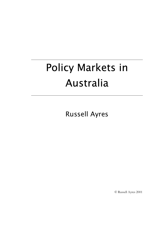# Policy Markets in Australia

Russell Ayres

© Russell Ayres 2001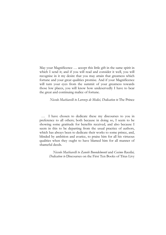May your Magnificence *…* accept this little gift in the same spirit in which I send it; and if you will read and consider it well, you will recognise in it my desire that you may attain that greatness which fortune and your great qualities promise. And if your Magnificence will turn your eyes from the summit of your greatness towards those low places, you will know how undeservedly I have to bear the great and continuing malice of fortune.

*Niccolo Machiavelli to Lorenzo de Medici, Dedication to* The Prince

… I have chosen to dedicate these my discourses to you in preference to all others; both because in doing so, I seem to be showing some gratitude for benefits received, and also because I seem in this to be departing from the usual practice of authors, which has always been to dedicate their works to some prince, and, blinded by ambition and avarice, to praise him for all his virtuous qualities when they ought to have blamed him for all manner of shameful deeds.

> *Niccolo Machiavelli to Zanobi Buondelmonti* and *Cosimo Rucellai, Dedication to* Discourses on the First Ten Books of Titus Livy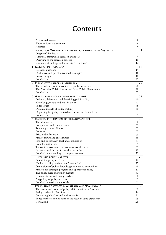## **Contents**

| Acknowledgements                                              | 111                       |
|---------------------------------------------------------------|---------------------------|
| Abbreviations and acronyms                                    | 1V                        |
| Abstract                                                      | $\boldsymbol{\mathrm{V}}$ |
| INTRODUCTION: THE MARKETISATION OF POLICY-MAKING IN AUSTRALIA |                           |
| Origins of the thesis                                         | 2                         |
| Analytical framework: research and ideas                      | $\overline{4}$            |
| Overview of the research process                              | 10                        |
| Summary of findings and structure of the thesis               | 12                        |
| 1. RESEARCH METHODOLOGY                                       | 14                        |
| Research questions                                            | 14                        |
| Qualitative and quantitative methodologies                    | 16                        |
| Project design                                                | 18                        |
| Conclusion                                                    | 25                        |
| 2. PUBLIC SECTOR REFORM IN AUSTRALIA                          | 27                        |
| The social and political context of public sector reform      | 28                        |
| The Australian Public Service and 'New Public Management'     | 28                        |
| Conclusion                                                    | 37                        |
| 3. WHAT IS PUBLIC POLICY AND HOW IS IT MADE?                  | 39                        |
| Defining, delineating and describing public policy            | 40                        |
| Knowledge, means and ends in policy                           | 47                        |
| Policy levels                                                 | 48                        |
| Dynamic models of policy-making                               | 50                        |
| Organising for policy: hierarchies, networks and markets      | 53                        |
| Conclusion                                                    | 59                        |
| 4. MARKETS: INFORMATION, UNCERTAINTY AND RISK                 | 60                        |
| The ideal market                                              | 60                        |
| Competition and contestability                                | 61                        |
| Tendency to specialisation                                    | 63                        |
| Contract                                                      | 63                        |
| Price and information                                         | 65                        |
| Market failure and externalities                              | 66                        |
| Risk and uncertainty; trust and cooperation                   | 67                        |
| Bounded rationality                                           | 69                        |
| Transaction costs and the economics of the firm               | 69                        |
| Economics of the professional services firm                   | 72                        |
| Conclusion: uncertainty in complex markets                    | 73                        |
| 5. THEORISING POLICY MARKETS                                  | 75                        |
| Describing policy markets                                     | 76                        |
| Choice in policy markets: 'and' versus 'or'                   | 77                        |
| Dimensions of policy: knowledge, values and competition       | 78                        |
| Markets for strategic, program and operational policy         | 81                        |
| The policy cycle and policy markets                           | 83                        |
| Incrementalism and policy markets                             | 88                        |
| A typology of policy markets                                  | 89                        |
| Conclusion: testing the models                                | 101                       |
| 6. POLICY ADVICE SERVICES IN AUSTRALIA AND NEW ZEALAND        | 102                       |
| The nature and extent of policy advice services in Australia  | 102                       |
| Policy markets in New Zealand                                 | 114                       |
| Comparing New Zealand and Australia                           | 122                       |
| Policy markets: implications of the New Zealand experience    | 125                       |
| Conclusion                                                    | 126                       |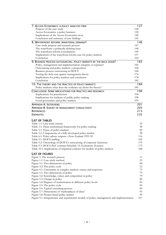| 7. ACCESS ECONOMICS: A POLICY ANALYSIS FIRM                                                                       | 127        |
|-------------------------------------------------------------------------------------------------------------------|------------|
| Purpose of the case study                                                                                         | 128        |
| Access Economics: a policy business                                                                               | 130        |
| Implications of the Access Economics story<br>140                                                                 |            |
| Conclusion and summary of case findings                                                                           | 145        |
| 8. WATERFRONT REFORM: MINISTERIAL DEMAND?                                                                         | 146        |
| Case study purpose and research process                                                                           | 147        |
| The waterfront: a politically defining issue                                                                      | 148        |
| The waterfront reform consultancies                                                                               | 149        |
| Implications of the waterfront reform case for policy markets<br>Conclusion                                       | 157<br>164 |
| 9. BUSINESS PROCESS OUTSOURCING: POLICY MARKETS BY THE BACK DOOR?                                                 | 165        |
| Policy, management and implementation: integrate or separate?                                                     | 166        |
| Outsourcing and policy markets: a proposition                                                                     | 168        |
| Business process outsourcing in DOFA                                                                              | 168        |
| Testing the dofa case against management theory                                                                   | 176        |
| Implications for policy markets and conclusion                                                                    | 178        |
| Conclusion                                                                                                        | 182        |
| 10. THE THEORY AND THE PRACTICE OF POLICY MARKETS<br>Policy markets: what does the evidence say about the theory? | 184<br>185 |
| CONCLUSION: SOME IMPLICATIONS FOR PRACTICE AND RESEARCH                                                           |            |
| Implications for practitioners                                                                                    | 194<br>194 |
| Implications for students of public policy-making                                                                 | 198        |
| Good governance and policy markets                                                                                | 199        |
| <b>APPENDIX A: INTERVIEWS</b>                                                                                     | 201        |
|                                                                                                                   | 205        |
| <b>APPENDIX B: SURVEY OF MANAGEMENT CONSULTANTS</b>                                                               |            |
| <b>REFERENCES</b>                                                                                                 | 213        |
| <b>ENDNOTES</b>                                                                                                   | 235        |
| <b>LIST OF TABLES</b>                                                                                             |            |
| Table 1.1: Case study criteria                                                                                    | 25         |
| Table 3.1: Three institutional frameworks for policy-making                                                       | 58         |
| Table 5.1: Types of policy markets                                                                                | 89         |
| Table 5.2: Components of a fully developed policy market                                                          | 98         |
| Table 6.1: Policy advice outputs—New Zealand 1991-92                                                              |            |
| Table 9.1: DOFA staffing                                                                                          |            |
| Table 9.2: Chronology of DOFA's outsourcing of corporate functions                                                |            |
| Table 9.3: DOFA-PwC contract Schedule 15: Exclusions (Extract)                                                    | 175        |
| Table 10.1: Implications of empirical evidence for models of policy markets                                       | 188        |
| <b>LIST OF FIGURES</b>                                                                                            |            |
| Figure 1: The research process                                                                                    | 11         |
| Figure 1.1: Case study method                                                                                     | 23         |
| Figure 3.1: Two dimensions of policy                                                                              | 48         |
| Figure 3.2: The policy cycle                                                                                      | 52         |
| Figure 4.1: Uncertainty in complex markets: causes and responses                                                  | 73         |
| Figure 5.1: Two dimensions of policy                                                                              | 79         |
| Figure 5.2: Knowledge, values and competition in policy                                                           | 79         |
| Figure 5.3: Change in policy                                                                                      | 80         |
| Figure 5.4: Degrees of marketisation in different policy levels                                                   | 83         |
| Figure 5.5: The policy cycle                                                                                      | 83         |
| Figure 5.6: Typical consulting process                                                                            | 84         |
| Figure 5.7: Dimensions of 'marketplaces of ideas'                                                                 | 93         |
| Figure 5.8: Project-based policy market                                                                           | 95         |
| Figure 9.1: Integrationist and separationist models of policy, management and implementation                      | 167        |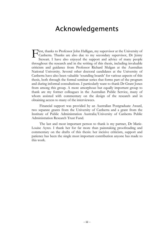#### Acknowledgements

<span id="page-4-0"></span>First, thanks to Professor John Halligan, my supervisor at the University of Canberra. Thanks are also due to my secondary supervisor, Dr Jenny Stewart. I have also enjoyed the support and advice of many people Canberra. Thanks are also due to my secondary supervisor, Dr Jenny Stewart. I have also enjoyed the support and advice of many people throughout the research and in the writing of this thesis, including invaluable criticism and guidance from Professor Richard Mulgan at the Australian National University. Several other doctoral candidates at the University of Canberra have also been valuable 'sounding boards' for various aspects of this thesis, both through the formal seminar series that forms part of the program and during informal consultations. I particularly want to thank Dr Grant Jones from among this group. A more amorphous but equally important group to thank are my former colleagues in the Australian Public Service, many of whom assisted with commentary on the design of the research and in obtaining access to many of the interviewees.

Financial support was provided by an Australian Postgraduate Award, two separate grants from the University of Canberra and a grant from the Institute of Public Administration Australia/University of Canberra Public Administration Research Trust Fund.

The last and most important person to thank is my partner, Dr Marie-Louise Ayres. I thank her for far more than painstaking proofreading and commentary on the drafts of this thesis: her incisive criticism, support and patience has been the single most important contribution anyone has made to this work.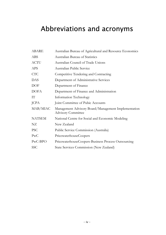# <span id="page-5-0"></span>Abbreviations and acronyms

| <b>ABARE</b>  | Australian Bureau of Agricultural and Resource Economics                         |
|---------------|----------------------------------------------------------------------------------|
| <b>ABS</b>    | <b>Australian Bureau of Statistics</b>                                           |
| <b>ACTU</b>   | Australian Council of Trade Unions                                               |
| <b>APS</b>    | <b>Australian Public Service</b>                                                 |
| <b>CTC</b>    | Competitive Tendering and Contracting                                            |
| DAS           | Department of Administrative Services                                            |
| <b>DOF</b>    | Department of Finance                                                            |
| <b>DOFA</b>   | Department of Finance and Administration                                         |
| IT            | Information Technology                                                           |
| <b>JCPA</b>   | Joint Committee of Pubic Accounts                                                |
| MAB/MIAC      | Management Advisory Board/Management Implementation<br><b>Advisory Committee</b> |
| <b>NATSEM</b> | National Centre for Social and Economic Modeling                                 |
| NZ            | New Zealand                                                                      |
| <b>PSC</b>    | Public Service Commission (Australia)                                            |
| PWC           | PricewaterhouseCoopers                                                           |
| PwC-BPO       | PricewaterhouseCoopers-Business Process Outsourcing                              |
| <b>SSC</b>    | <b>State Services Commission (New Zealand)</b>                                   |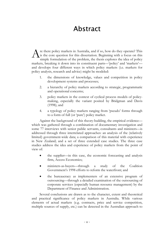### Abstract

<span id="page-6-0"></span>re there policy markets in Australia, and if so, how do they operate? This is the core question for this dissertation. Beginning with a focus on this simple formulation of the problem, the thesis explores the idea of policy markets, breaking it down into its constituent parts—'policy' and 'markets' and develops four different ways in which policy markets (i.e. markets for policy analysis, research and advice) might be modeled: A

- 1. the dimensions of knowledge, values and competition in policy development systems and processes;
- 2. a hierarchy of policy markets according to strategic, programmatic and operational concerns;
- 3. policy markets in the context of cyclical process models of policymaking, especially the variant posited by Bridgman and Davis (1998); and
- 4. a typology of policy markets ranging from 'pseudo' forms through to a form of full (or 'pure') policy market.

Against the background of this theory-building, the empirical evidence which was gathered through a combination of documentary investigation and some 77 interviews with senior public servants, consultants and ministers—is addressed through three interrelated approaches: an analysis of the (relatively limited) government-wide data; a comparison of this material with experience in New Zealand; and a set of three extended case studies. The three case studies address the idea and experience of policy markets from the point of view of:

- the supplier—in this case, the economic forecasting and analysis firm, Access Economics;
- ministers-as-buyers—through a study of the Coalition Government's 1998 efforts to reform the waterfront; and
- the bureaucracy as implementers of an extensive program of outsourcing—through a detailed examination of the outsourcing of corporate services (especially human resource management) by the Department of Finance and Administration.

Several conclusions are drawn as to the character, extent and theoretical and practical significance of policy markets in Australia. While various elements of actual markets (e.g. contracts, price and service competition, multiple sources of supply, etc.) can be detected in the Australian approach to